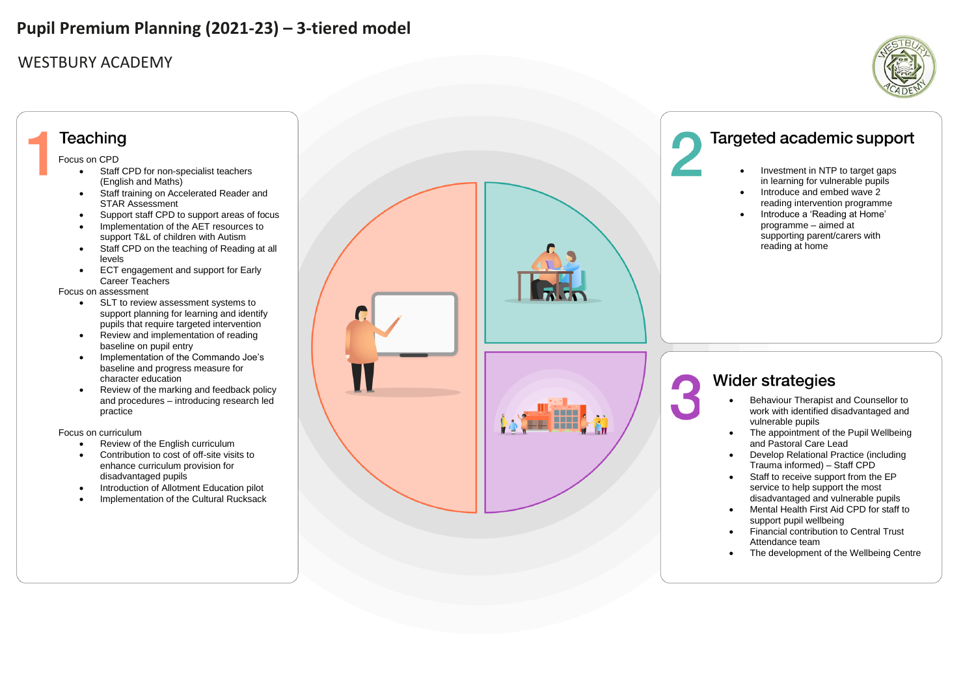### WESTBURY ACADEMY

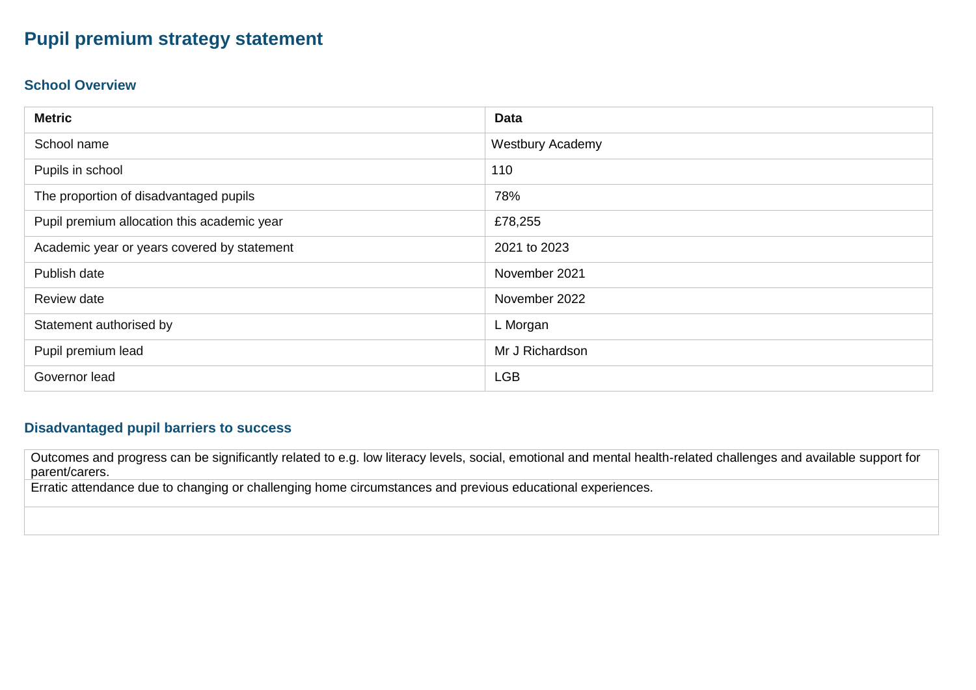### **Pupil premium strategy statement**

#### **School Overview**

| <b>Metric</b>                               | <b>Data</b>             |
|---------------------------------------------|-------------------------|
| School name                                 | <b>Westbury Academy</b> |
| Pupils in school                            | 110                     |
| The proportion of disadvantaged pupils      | 78%                     |
| Pupil premium allocation this academic year | £78,255                 |
| Academic year or years covered by statement | 2021 to 2023            |
| Publish date                                | November 2021           |
| Review date                                 | November 2022           |
| Statement authorised by                     | L Morgan                |
| Pupil premium lead                          | Mr J Richardson         |
| Governor lead                               | <b>LGB</b>              |

#### **Disadvantaged pupil barriers to success**

Outcomes and progress can be significantly related to e.g. low literacy levels, social, emotional and mental health-related challenges and available support for parent/carers.

Erratic attendance due to changing or challenging home circumstances and previous educational experiences.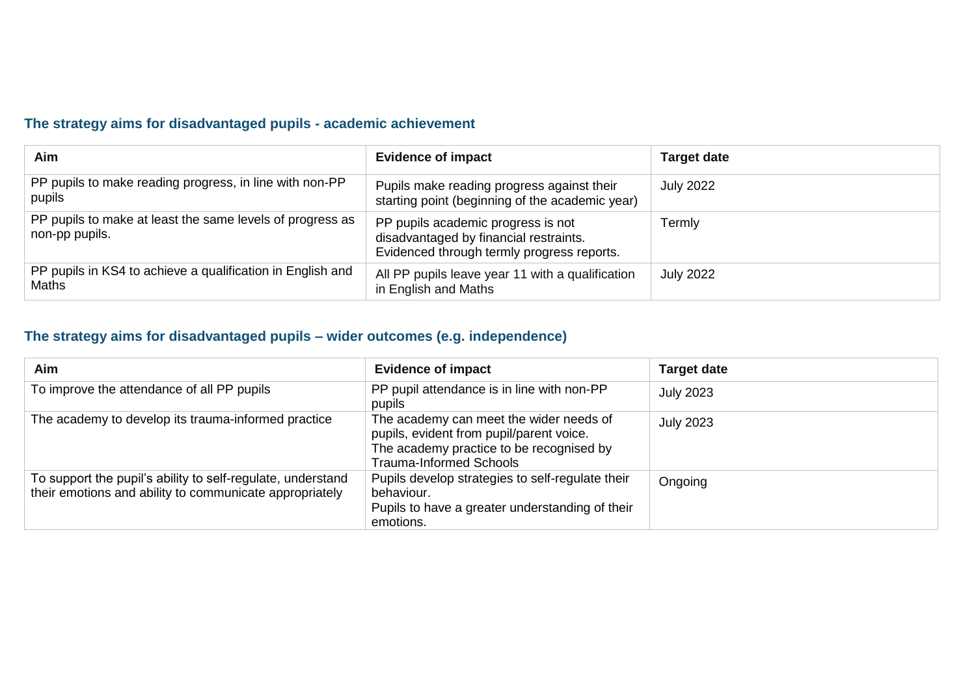### **The strategy aims for disadvantaged pupils - academic achievement**

| Aim                                                                         | <b>Evidence of impact</b>                                                                                                  | <b>Target date</b> |
|-----------------------------------------------------------------------------|----------------------------------------------------------------------------------------------------------------------------|--------------------|
| PP pupils to make reading progress, in line with non-PP<br>pupils           | Pupils make reading progress against their<br>starting point (beginning of the academic year)                              | <b>July 2022</b>   |
| PP pupils to make at least the same levels of progress as<br>non-pp pupils. | PP pupils academic progress is not<br>disadvantaged by financial restraints.<br>Evidenced through termly progress reports. | Termly             |
| PP pupils in KS4 to achieve a qualification in English and<br><b>Maths</b>  | All PP pupils leave year 11 with a qualification<br>in English and Maths                                                   | <b>July 2022</b>   |

### **The strategy aims for disadvantaged pupils – wider outcomes (e.g. independence)**

| <b>Aim</b>                                                                                                             | <b>Evidence of impact</b>                                                                                                                                  | <b>Target date</b> |
|------------------------------------------------------------------------------------------------------------------------|------------------------------------------------------------------------------------------------------------------------------------------------------------|--------------------|
| To improve the attendance of all PP pupils                                                                             | PP pupil attendance is in line with non-PP<br>pupils                                                                                                       | <b>July 2023</b>   |
| The academy to develop its trauma-informed practice                                                                    | The academy can meet the wider needs of<br>pupils, evident from pupil/parent voice.<br>The academy practice to be recognised by<br>Trauma-Informed Schools | <b>July 2023</b>   |
| To support the pupil's ability to self-regulate, understand<br>their emotions and ability to communicate appropriately | Pupils develop strategies to self-regulate their<br>behaviour.<br>Pupils to have a greater understanding of their<br>emotions.                             | Ongoing            |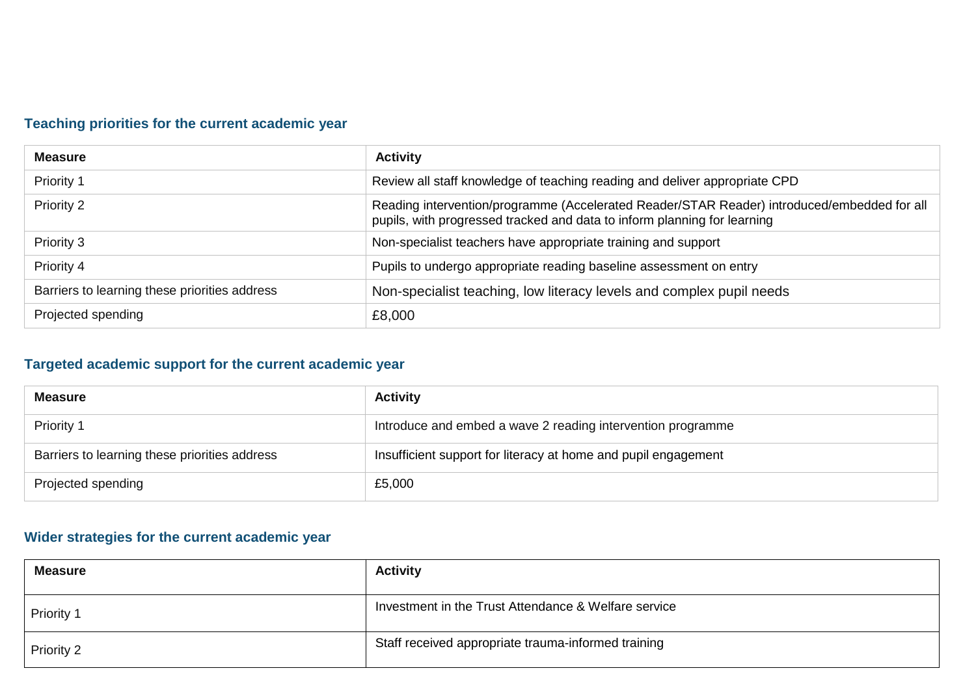### **Teaching priorities for the current academic year**

| <b>Measure</b>                                | <b>Activity</b>                                                                                                                                                         |
|-----------------------------------------------|-------------------------------------------------------------------------------------------------------------------------------------------------------------------------|
| Priority 1                                    | Review all staff knowledge of teaching reading and deliver appropriate CPD                                                                                              |
| Priority 2                                    | Reading intervention/programme (Accelerated Reader/STAR Reader) introduced/embedded for all<br>pupils, with progressed tracked and data to inform planning for learning |
| Priority 3                                    | Non-specialist teachers have appropriate training and support                                                                                                           |
| Priority 4                                    | Pupils to undergo appropriate reading baseline assessment on entry                                                                                                      |
| Barriers to learning these priorities address | Non-specialist teaching, low literacy levels and complex pupil needs                                                                                                    |
| Projected spending                            | £8,000                                                                                                                                                                  |

### **Targeted academic support for the current academic year**

| <b>Measure</b>                                | <b>Activity</b>                                                |
|-----------------------------------------------|----------------------------------------------------------------|
| Priority 1                                    | Introduce and embed a wave 2 reading intervention programme    |
| Barriers to learning these priorities address | Insufficient support for literacy at home and pupil engagement |
| Projected spending                            | £5,000                                                         |

### **Wider strategies for the current academic year**

| <b>Measure</b> | <b>Activity</b>                                      |
|----------------|------------------------------------------------------|
| Priority 1     | Investment in the Trust Attendance & Welfare service |
| Priority 2     | Staff received appropriate trauma-informed training  |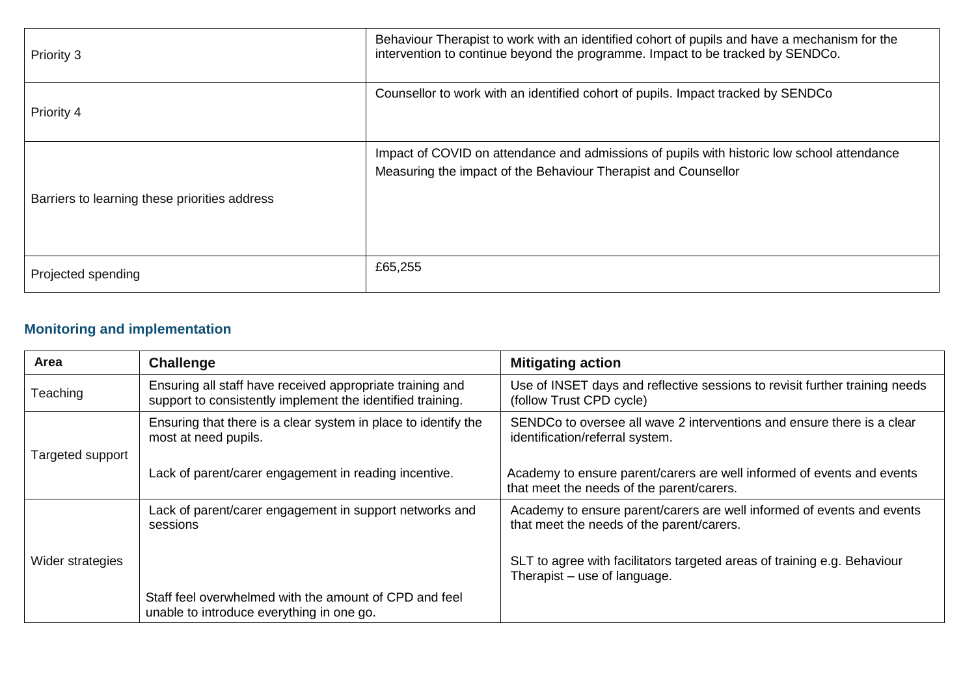| Priority 3                                    | Behaviour Therapist to work with an identified cohort of pupils and have a mechanism for the<br>intervention to continue beyond the programme. Impact to be tracked by SENDCo. |
|-----------------------------------------------|--------------------------------------------------------------------------------------------------------------------------------------------------------------------------------|
| Priority 4                                    | Counsellor to work with an identified cohort of pupils. Impact tracked by SENDCo                                                                                               |
| Barriers to learning these priorities address | Impact of COVID on attendance and admissions of pupils with historic low school attendance<br>Measuring the impact of the Behaviour Therapist and Counsellor                   |
| Projected spending                            | £65,255                                                                                                                                                                        |

## **Monitoring and implementation**

| <b>Area</b>      | Challenge                                                                                                               | <b>Mitigating action</b>                                                                                            |
|------------------|-------------------------------------------------------------------------------------------------------------------------|---------------------------------------------------------------------------------------------------------------------|
| Teaching         | Ensuring all staff have received appropriate training and<br>support to consistently implement the identified training. | Use of INSET days and reflective sessions to revisit further training needs<br>(follow Trust CPD cycle)             |
| Targeted support | Ensuring that there is a clear system in place to identify the<br>most at need pupils.                                  | SENDCo to oversee all wave 2 interventions and ensure there is a clear<br>identification/referral system.           |
|                  | Lack of parent/carer engagement in reading incentive.                                                                   | Academy to ensure parent/carers are well informed of events and events<br>that meet the needs of the parent/carers. |
|                  | Lack of parent/carer engagement in support networks and<br>sessions                                                     | Academy to ensure parent/carers are well informed of events and events<br>that meet the needs of the parent/carers. |
| Wider strategies |                                                                                                                         | SLT to agree with facilitators targeted areas of training e.g. Behaviour<br>Therapist - use of language.            |
|                  | Staff feel overwhelmed with the amount of CPD and feel<br>unable to introduce everything in one go.                     |                                                                                                                     |